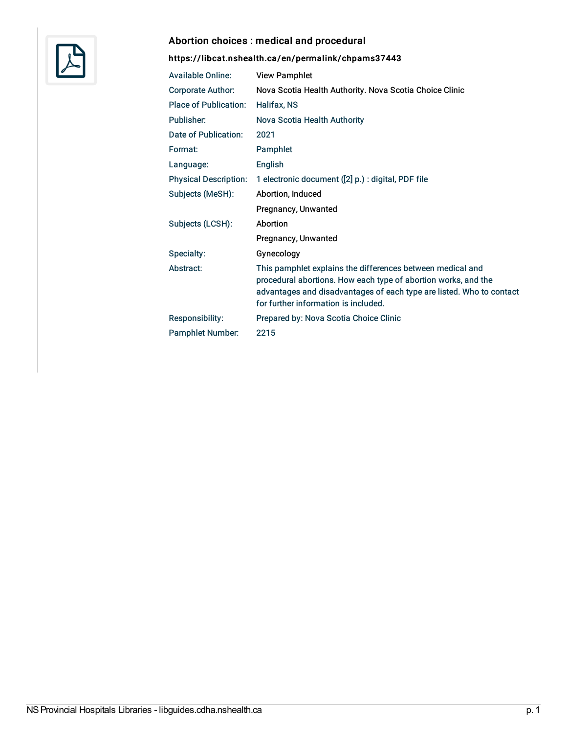

#### Abortion choices : medical and procedural

| <b>Available Online:</b>     | <b>View Pamphlet</b>                                                                                                                                                                                                                         |
|------------------------------|----------------------------------------------------------------------------------------------------------------------------------------------------------------------------------------------------------------------------------------------|
| <b>Corporate Author:</b>     | Nova Scotia Health Authority. Nova Scotia Choice Clinic                                                                                                                                                                                      |
| <b>Place of Publication:</b> | Halifax, NS                                                                                                                                                                                                                                  |
| Publisher:                   | Nova Scotia Health Authority                                                                                                                                                                                                                 |
| Date of Publication:         | 2021                                                                                                                                                                                                                                         |
| Format:                      | Pamphlet                                                                                                                                                                                                                                     |
| Language:                    | English                                                                                                                                                                                                                                      |
| <b>Physical Description:</b> | 1 electronic document ([2] p.) : digital, PDF file                                                                                                                                                                                           |
| Subjects (MeSH):             | Abortion, Induced                                                                                                                                                                                                                            |
|                              | Pregnancy, Unwanted                                                                                                                                                                                                                          |
| Subjects (LCSH):             | Abortion                                                                                                                                                                                                                                     |
|                              | Pregnancy, Unwanted                                                                                                                                                                                                                          |
| Specialty:                   | Gynecology                                                                                                                                                                                                                                   |
| Abstract:                    | This pamphlet explains the differences between medical and<br>procedural abortions. How each type of abortion works, and the<br>advantages and disadvantages of each type are listed. Who to contact<br>for further information is included. |
| <b>Responsibility:</b>       | Prepared by: Nova Scotia Choice Clinic                                                                                                                                                                                                       |
| <b>Pamphlet Number:</b>      | 2215                                                                                                                                                                                                                                         |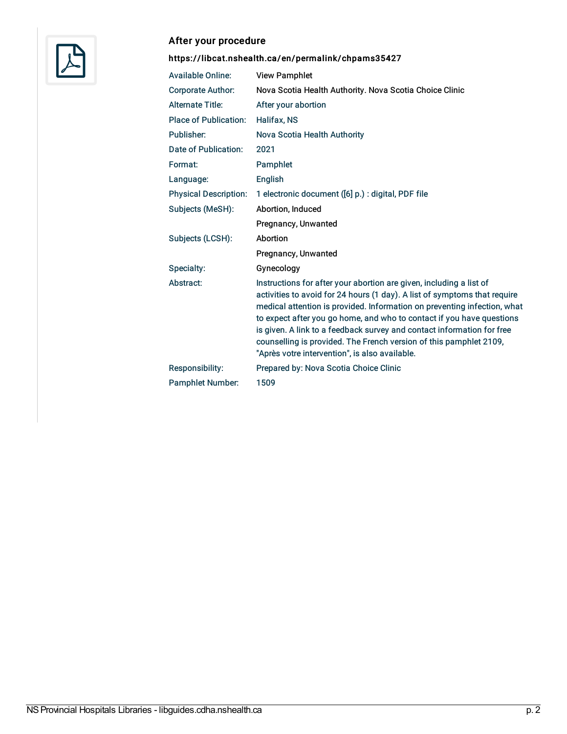

#### After your procedure

| <b>Available Online:</b>     | <b>View Pamphlet</b>                                                                                                                                                                                                                                                                                                                                                                                                                                                                                    |
|------------------------------|---------------------------------------------------------------------------------------------------------------------------------------------------------------------------------------------------------------------------------------------------------------------------------------------------------------------------------------------------------------------------------------------------------------------------------------------------------------------------------------------------------|
| <b>Corporate Author:</b>     | Nova Scotia Health Authority. Nova Scotia Choice Clinic                                                                                                                                                                                                                                                                                                                                                                                                                                                 |
| <b>Alternate Title:</b>      | After your abortion                                                                                                                                                                                                                                                                                                                                                                                                                                                                                     |
| <b>Place of Publication:</b> | <b>Halifax, NS</b>                                                                                                                                                                                                                                                                                                                                                                                                                                                                                      |
| Publisher:                   | Nova Scotia Health Authority                                                                                                                                                                                                                                                                                                                                                                                                                                                                            |
| Date of Publication:         | 2021                                                                                                                                                                                                                                                                                                                                                                                                                                                                                                    |
| Format:                      | Pamphlet                                                                                                                                                                                                                                                                                                                                                                                                                                                                                                |
| Language:                    | English                                                                                                                                                                                                                                                                                                                                                                                                                                                                                                 |
| <b>Physical Description:</b> | 1 electronic document ([6] p.) : digital, PDF file                                                                                                                                                                                                                                                                                                                                                                                                                                                      |
| Subjects (MeSH):             | Abortion, Induced                                                                                                                                                                                                                                                                                                                                                                                                                                                                                       |
|                              | Pregnancy, Unwanted                                                                                                                                                                                                                                                                                                                                                                                                                                                                                     |
| Subjects (LCSH):             | Abortion                                                                                                                                                                                                                                                                                                                                                                                                                                                                                                |
|                              | Pregnancy, Unwanted                                                                                                                                                                                                                                                                                                                                                                                                                                                                                     |
| Specialty:                   | Gynecology                                                                                                                                                                                                                                                                                                                                                                                                                                                                                              |
| Abstract:                    | Instructions for after your abortion are given, including a list of<br>activities to avoid for 24 hours (1 day). A list of symptoms that require<br>medical attention is provided. Information on preventing infection, what<br>to expect after you go home, and who to contact if you have questions<br>is given. A link to a feedback survey and contact information for free<br>counselling is provided. The French version of this pamphlet 2109,<br>"Après votre intervention", is also available. |
| Responsibility:              | Prepared by: Nova Scotia Choice Clinic                                                                                                                                                                                                                                                                                                                                                                                                                                                                  |
| <b>Pamphlet Number:</b>      | 1509                                                                                                                                                                                                                                                                                                                                                                                                                                                                                                    |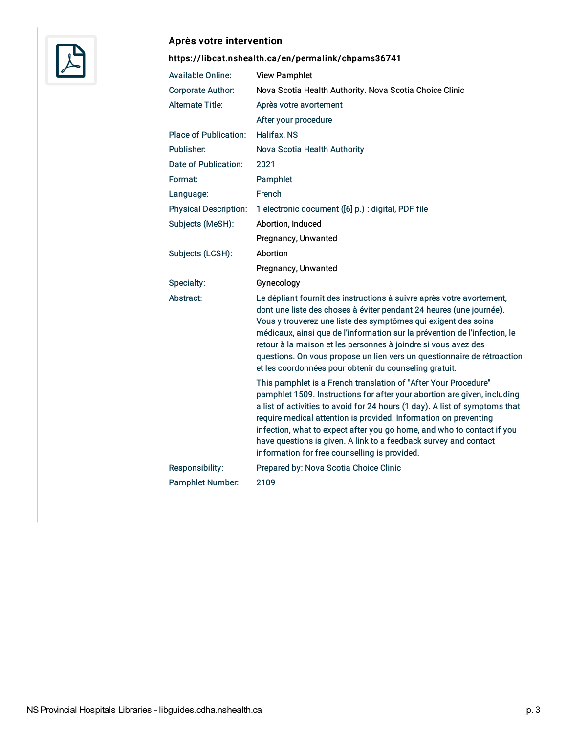

# Après votre intervention

| <b>Available Online:</b>     | <b>View Pamphlet</b>                                                                                                                                                                                                                                                                                                                                                                                                                                                                                                                                                                                                                                                                                                           |
|------------------------------|--------------------------------------------------------------------------------------------------------------------------------------------------------------------------------------------------------------------------------------------------------------------------------------------------------------------------------------------------------------------------------------------------------------------------------------------------------------------------------------------------------------------------------------------------------------------------------------------------------------------------------------------------------------------------------------------------------------------------------|
| <b>Corporate Author:</b>     | Nova Scotia Health Authority. Nova Scotia Choice Clinic                                                                                                                                                                                                                                                                                                                                                                                                                                                                                                                                                                                                                                                                        |
| <b>Alternate Title:</b>      | Après votre avortement                                                                                                                                                                                                                                                                                                                                                                                                                                                                                                                                                                                                                                                                                                         |
|                              | After your procedure                                                                                                                                                                                                                                                                                                                                                                                                                                                                                                                                                                                                                                                                                                           |
| <b>Place of Publication:</b> | Halifax, NS                                                                                                                                                                                                                                                                                                                                                                                                                                                                                                                                                                                                                                                                                                                    |
| Publisher:                   | Nova Scotia Health Authority                                                                                                                                                                                                                                                                                                                                                                                                                                                                                                                                                                                                                                                                                                   |
| Date of Publication:         | 2021                                                                                                                                                                                                                                                                                                                                                                                                                                                                                                                                                                                                                                                                                                                           |
| Format:                      | Pamphlet                                                                                                                                                                                                                                                                                                                                                                                                                                                                                                                                                                                                                                                                                                                       |
| Language:                    | French                                                                                                                                                                                                                                                                                                                                                                                                                                                                                                                                                                                                                                                                                                                         |
| <b>Physical Description:</b> | 1 electronic document ([6] p.) : digital, PDF file                                                                                                                                                                                                                                                                                                                                                                                                                                                                                                                                                                                                                                                                             |
| Subjects (MeSH):             | Abortion, Induced                                                                                                                                                                                                                                                                                                                                                                                                                                                                                                                                                                                                                                                                                                              |
|                              | Pregnancy, Unwanted                                                                                                                                                                                                                                                                                                                                                                                                                                                                                                                                                                                                                                                                                                            |
| Subjects (LCSH):             | Abortion                                                                                                                                                                                                                                                                                                                                                                                                                                                                                                                                                                                                                                                                                                                       |
|                              | Pregnancy, Unwanted                                                                                                                                                                                                                                                                                                                                                                                                                                                                                                                                                                                                                                                                                                            |
| Specialty:                   | Gynecology                                                                                                                                                                                                                                                                                                                                                                                                                                                                                                                                                                                                                                                                                                                     |
| Abstract:                    | Le dépliant fournit des instructions à suivre après votre avortement,<br>dont une liste des choses à éviter pendant 24 heures (une journée).                                                                                                                                                                                                                                                                                                                                                                                                                                                                                                                                                                                   |
|                              | Vous y trouverez une liste des symptômes qui exigent des soins<br>médicaux, ainsi que de l'information sur la prévention de l'infection, le<br>retour à la maison et les personnes à joindre si vous avez des<br>questions. On vous propose un lien vers un questionnaire de rétroaction<br>et les coordonnées pour obtenir du counseling gratuit.<br>This pamphlet is a French translation of "After Your Procedure"<br>pamphlet 1509. Instructions for after your abortion are given, including<br>a list of activities to avoid for 24 hours (1 day). A list of symptoms that<br>require medical attention is provided. Information on preventing<br>infection, what to expect after you go home, and who to contact if you |
|                              | have questions is given. A link to a feedback survey and contact<br>information for free counselling is provided.                                                                                                                                                                                                                                                                                                                                                                                                                                                                                                                                                                                                              |
| Responsibility:              | Prepared by: Nova Scotia Choice Clinic                                                                                                                                                                                                                                                                                                                                                                                                                                                                                                                                                                                                                                                                                         |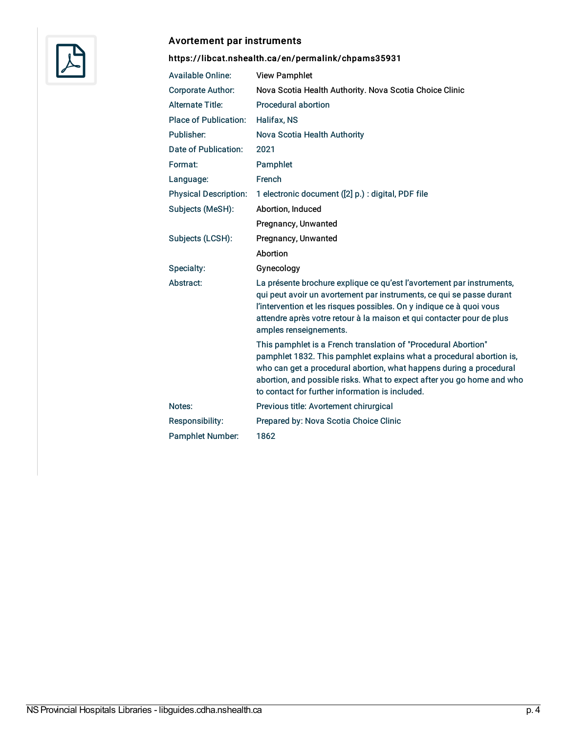

#### Avortement par instruments

| <b>Available Online:</b>     | <b>View Pamphlet</b>                                                                                                                                                                                                                                                                                                                       |
|------------------------------|--------------------------------------------------------------------------------------------------------------------------------------------------------------------------------------------------------------------------------------------------------------------------------------------------------------------------------------------|
| <b>Corporate Author:</b>     | Nova Scotia Health Authority. Nova Scotia Choice Clinic                                                                                                                                                                                                                                                                                    |
| <b>Alternate Title:</b>      | Procedural abortion                                                                                                                                                                                                                                                                                                                        |
| <b>Place of Publication:</b> | Halifax, NS                                                                                                                                                                                                                                                                                                                                |
| Publisher:                   | Nova Scotia Health Authority                                                                                                                                                                                                                                                                                                               |
| Date of Publication:         | 2021                                                                                                                                                                                                                                                                                                                                       |
| Format:                      | Pamphlet                                                                                                                                                                                                                                                                                                                                   |
| Language:                    | French                                                                                                                                                                                                                                                                                                                                     |
| <b>Physical Description:</b> | 1 electronic document ([2] p.) : digital, PDF file                                                                                                                                                                                                                                                                                         |
| Subjects (MeSH):             | Abortion, Induced                                                                                                                                                                                                                                                                                                                          |
|                              | Pregnancy, Unwanted                                                                                                                                                                                                                                                                                                                        |
| Subjects (LCSH):             | Pregnancy, Unwanted                                                                                                                                                                                                                                                                                                                        |
|                              | Abortion                                                                                                                                                                                                                                                                                                                                   |
| Specialty:                   | Gynecology                                                                                                                                                                                                                                                                                                                                 |
| Abstract:                    | La présente brochure explique ce qu'est l'avortement par instruments,<br>qui peut avoir un avortement par instruments, ce qui se passe durant<br>l'intervention et les risques possibles. On y indique ce à quoi vous<br>attendre après votre retour à la maison et qui contacter pour de plus<br>amples renseignements.                   |
|                              | This pamphlet is a French translation of "Procedural Abortion"<br>pamphlet 1832. This pamphlet explains what a procedural abortion is,<br>who can get a procedural abortion, what happens during a procedural<br>abortion, and possible risks. What to expect after you go home and who<br>to contact for further information is included. |
| Notes:                       | Previous title: Avortement chirurgical                                                                                                                                                                                                                                                                                                     |
| Responsibility:              | Prepared by: Nova Scotia Choice Clinic                                                                                                                                                                                                                                                                                                     |
| <b>Pamphlet Number:</b>      | 1862                                                                                                                                                                                                                                                                                                                                       |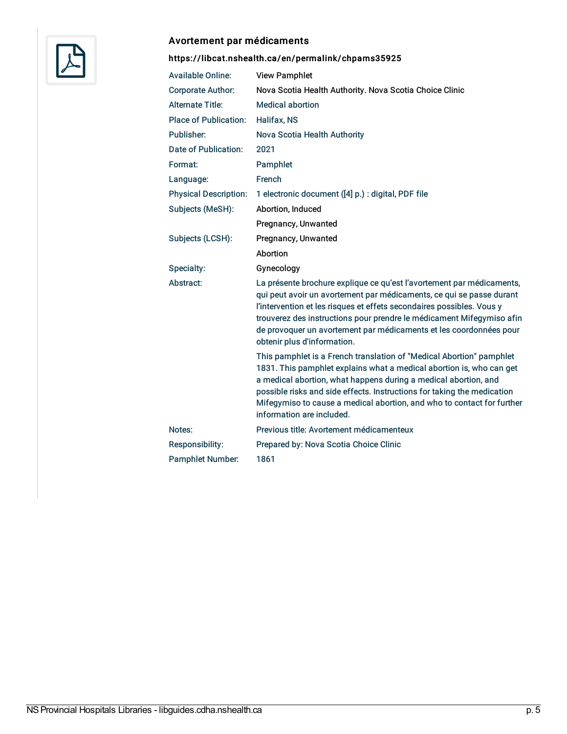

#### Avortement par médicaments

| <b>Available Online:</b>     | <b>View Pamphlet</b>                                                                                                                                                                                                                                                                                                                                                                                 |
|------------------------------|------------------------------------------------------------------------------------------------------------------------------------------------------------------------------------------------------------------------------------------------------------------------------------------------------------------------------------------------------------------------------------------------------|
| Corporate Author:            | Nova Scotia Health Authority. Nova Scotia Choice Clinic                                                                                                                                                                                                                                                                                                                                              |
| <b>Alternate Title:</b>      | <b>Medical abortion</b>                                                                                                                                                                                                                                                                                                                                                                              |
| <b>Place of Publication:</b> | <b>Halifax, NS</b>                                                                                                                                                                                                                                                                                                                                                                                   |
| Publisher:                   | Nova Scotia Health Authority                                                                                                                                                                                                                                                                                                                                                                         |
| Date of Publication:         | 2021                                                                                                                                                                                                                                                                                                                                                                                                 |
| Format:                      | Pamphlet                                                                                                                                                                                                                                                                                                                                                                                             |
| Language:                    | French                                                                                                                                                                                                                                                                                                                                                                                               |
| <b>Physical Description:</b> | 1 electronic document ([4] p.) : digital, PDF file                                                                                                                                                                                                                                                                                                                                                   |
| Subjects (MeSH):             | Abortion, Induced                                                                                                                                                                                                                                                                                                                                                                                    |
|                              | Pregnancy, Unwanted                                                                                                                                                                                                                                                                                                                                                                                  |
| Subjects (LCSH):             | Pregnancy, Unwanted                                                                                                                                                                                                                                                                                                                                                                                  |
|                              | Abortion                                                                                                                                                                                                                                                                                                                                                                                             |
| Specialty:                   | Gynecology                                                                                                                                                                                                                                                                                                                                                                                           |
| Abstract:                    | La présente brochure explique ce qu'est l'avortement par médicaments,<br>qui peut avoir un avortement par médicaments, ce qui se passe durant<br>l'intervention et les risques et effets secondaires possibles. Vous y<br>trouverez des instructions pour prendre le médicament Mifegymiso afin<br>de provoquer un avortement par médicaments et les coordonnées pour<br>obtenir plus d'information. |
|                              | This pamphlet is a French translation of "Medical Abortion" pamphlet<br>1831. This pamphlet explains what a medical abortion is, who can get<br>a medical abortion, what happens during a medical abortion, and<br>possible risks and side effects. Instructions for taking the medication<br>Mifegymiso to cause a medical abortion, and who to contact for further<br>information are included.    |
| Notes:                       | Previous title: Avortement médicamenteux                                                                                                                                                                                                                                                                                                                                                             |
| <b>Responsibility:</b>       | Prepared by: Nova Scotia Choice Clinic                                                                                                                                                                                                                                                                                                                                                               |
| <b>Pamphlet Number:</b>      | 1861                                                                                                                                                                                                                                                                                                                                                                                                 |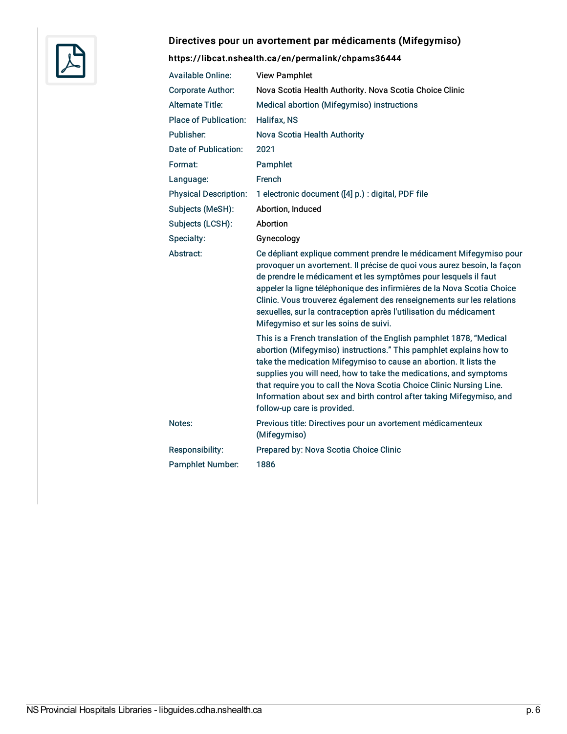

# Directives pour un avortement par médicaments (Mifegymiso)

| <b>Available Online:</b>     | <b>View Pamphlet</b>                                                                                                                                                                                                                                                                                                                                                                                                                                                              |
|------------------------------|-----------------------------------------------------------------------------------------------------------------------------------------------------------------------------------------------------------------------------------------------------------------------------------------------------------------------------------------------------------------------------------------------------------------------------------------------------------------------------------|
| <b>Corporate Author:</b>     | Nova Scotia Health Authority. Nova Scotia Choice Clinic                                                                                                                                                                                                                                                                                                                                                                                                                           |
| <b>Alternate Title:</b>      | Medical abortion (Mifegymiso) instructions                                                                                                                                                                                                                                                                                                                                                                                                                                        |
| <b>Place of Publication:</b> | <b>Halifax, NS</b>                                                                                                                                                                                                                                                                                                                                                                                                                                                                |
| Publisher:                   | Nova Scotia Health Authority                                                                                                                                                                                                                                                                                                                                                                                                                                                      |
| Date of Publication:         | 2021                                                                                                                                                                                                                                                                                                                                                                                                                                                                              |
| Format:                      | Pamphlet                                                                                                                                                                                                                                                                                                                                                                                                                                                                          |
| Language:                    | French                                                                                                                                                                                                                                                                                                                                                                                                                                                                            |
| <b>Physical Description:</b> | 1 electronic document ([4] p.) : digital, PDF file                                                                                                                                                                                                                                                                                                                                                                                                                                |
| Subjects (MeSH):             | Abortion, Induced                                                                                                                                                                                                                                                                                                                                                                                                                                                                 |
| Subjects (LCSH):             | Abortion                                                                                                                                                                                                                                                                                                                                                                                                                                                                          |
| Specialty:                   | Gynecology                                                                                                                                                                                                                                                                                                                                                                                                                                                                        |
| Abstract:                    | Ce dépliant explique comment prendre le médicament Mifegymiso pour<br>provoquer un avortement. Il précise de quoi vous aurez besoin, la façon<br>de prendre le médicament et les symptômes pour lesquels il faut<br>appeler la ligne téléphonique des infirmières de la Nova Scotia Choice<br>Clinic. Vous trouverez également des renseignements sur les relations<br>sexuelles, sur la contraception après l'utilisation du médicament<br>Mifegymiso et sur les soins de suivi. |
|                              | This is a French translation of the English pamphlet 1878, "Medical<br>abortion (Mifegymiso) instructions." This pamphlet explains how to<br>take the medication Mifegymiso to cause an abortion. It lists the<br>supplies you will need, how to take the medications, and symptoms<br>that require you to call the Nova Scotia Choice Clinic Nursing Line.<br>Information about sex and birth control after taking Mifegymiso, and<br>follow-up care is provided.                |
| Notes:                       | Previous title: Directives pour un avortement médicamenteux<br>(Mifegymiso)                                                                                                                                                                                                                                                                                                                                                                                                       |
| Responsibility:              | Prepared by: Nova Scotia Choice Clinic                                                                                                                                                                                                                                                                                                                                                                                                                                            |
| <b>Pamphlet Number:</b>      | 1886                                                                                                                                                                                                                                                                                                                                                                                                                                                                              |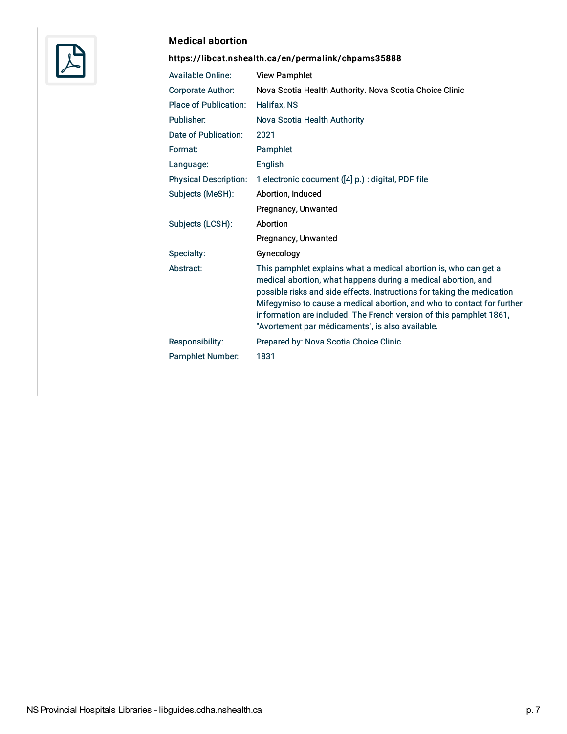

#### Medical abortion

| <b>Available Online:</b>     | <b>View Pamphlet</b>                                                                                                                                                                                                                                                                                                                                                                                              |
|------------------------------|-------------------------------------------------------------------------------------------------------------------------------------------------------------------------------------------------------------------------------------------------------------------------------------------------------------------------------------------------------------------------------------------------------------------|
| <b>Corporate Author:</b>     | Nova Scotia Health Authority. Nova Scotia Choice Clinic                                                                                                                                                                                                                                                                                                                                                           |
| <b>Place of Publication:</b> | Halifax, NS                                                                                                                                                                                                                                                                                                                                                                                                       |
| Publisher:                   | Nova Scotia Health Authority                                                                                                                                                                                                                                                                                                                                                                                      |
| Date of Publication:         | 2021                                                                                                                                                                                                                                                                                                                                                                                                              |
| Format:                      | Pamphlet                                                                                                                                                                                                                                                                                                                                                                                                          |
| Language:                    | <b>English</b>                                                                                                                                                                                                                                                                                                                                                                                                    |
| <b>Physical Description:</b> | 1 electronic document ([4] p.) : digital, PDF file                                                                                                                                                                                                                                                                                                                                                                |
| Subjects (MeSH):             | Abortion, Induced                                                                                                                                                                                                                                                                                                                                                                                                 |
|                              | Pregnancy, Unwanted                                                                                                                                                                                                                                                                                                                                                                                               |
| Subjects (LCSH):             | Abortion                                                                                                                                                                                                                                                                                                                                                                                                          |
|                              | Pregnancy, Unwanted                                                                                                                                                                                                                                                                                                                                                                                               |
| Specialty:                   | Gynecology                                                                                                                                                                                                                                                                                                                                                                                                        |
| Abstract:                    | This pamphlet explains what a medical abortion is, who can get a<br>medical abortion, what happens during a medical abortion, and<br>possible risks and side effects. Instructions for taking the medication<br>Mifegymiso to cause a medical abortion, and who to contact for further<br>information are included. The French version of this pamphlet 1861,<br>"Avortement par médicaments", is also available. |
| Responsibility:              | Prepared by: Nova Scotia Choice Clinic                                                                                                                                                                                                                                                                                                                                                                            |
| <b>Pamphlet Number:</b>      | 1831                                                                                                                                                                                                                                                                                                                                                                                                              |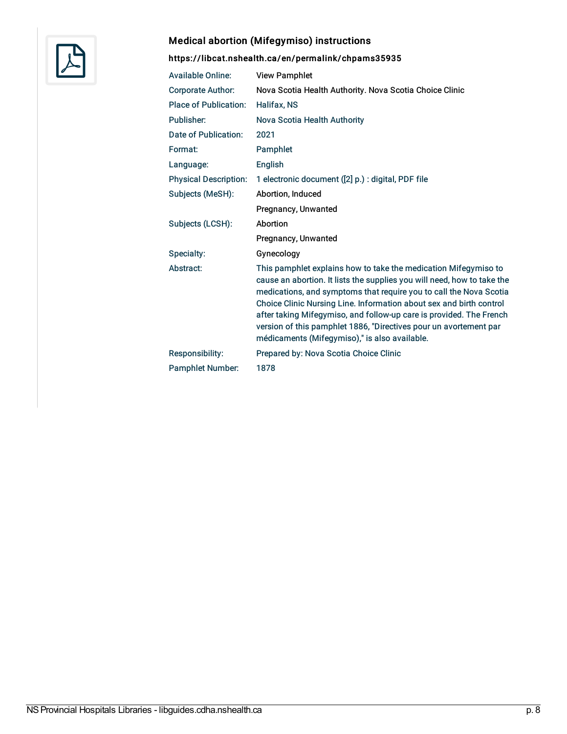

# Medical abortion (Mifegymiso) instructions

| <b>Available Online:</b>     | <b>View Pamphlet</b>                                                                                                                                                                                                                                                                                                                                                                                                                                                                 |
|------------------------------|--------------------------------------------------------------------------------------------------------------------------------------------------------------------------------------------------------------------------------------------------------------------------------------------------------------------------------------------------------------------------------------------------------------------------------------------------------------------------------------|
| <b>Corporate Author:</b>     | Nova Scotia Health Authority. Nova Scotia Choice Clinic                                                                                                                                                                                                                                                                                                                                                                                                                              |
| <b>Place of Publication:</b> | Halifax, NS                                                                                                                                                                                                                                                                                                                                                                                                                                                                          |
| Publisher:                   | Nova Scotia Health Authority                                                                                                                                                                                                                                                                                                                                                                                                                                                         |
| Date of Publication:         | 2021                                                                                                                                                                                                                                                                                                                                                                                                                                                                                 |
| Format:                      | Pamphlet                                                                                                                                                                                                                                                                                                                                                                                                                                                                             |
| Language:                    | <b>English</b>                                                                                                                                                                                                                                                                                                                                                                                                                                                                       |
| <b>Physical Description:</b> | 1 electronic document ([2] p.) : digital, PDF file                                                                                                                                                                                                                                                                                                                                                                                                                                   |
| Subjects (MeSH):             | Abortion, Induced                                                                                                                                                                                                                                                                                                                                                                                                                                                                    |
|                              | Pregnancy, Unwanted                                                                                                                                                                                                                                                                                                                                                                                                                                                                  |
| Subjects (LCSH):             | Abortion                                                                                                                                                                                                                                                                                                                                                                                                                                                                             |
|                              | Pregnancy, Unwanted                                                                                                                                                                                                                                                                                                                                                                                                                                                                  |
| Specialty:                   | Gynecology                                                                                                                                                                                                                                                                                                                                                                                                                                                                           |
| Abstract:                    | This pamphlet explains how to take the medication Mifegymiso to<br>cause an abortion. It lists the supplies you will need, how to take the<br>medications, and symptoms that require you to call the Nova Scotia<br>Choice Clinic Nursing Line. Information about sex and birth control<br>after taking Mifegymiso, and follow-up care is provided. The French<br>version of this pamphlet 1886, "Directives pour un avortement par<br>médicaments (Mifegymiso)," is also available. |
| Responsibility:              | Prepared by: Nova Scotia Choice Clinic                                                                                                                                                                                                                                                                                                                                                                                                                                               |
| <b>Pamphlet Number:</b>      | 1878                                                                                                                                                                                                                                                                                                                                                                                                                                                                                 |